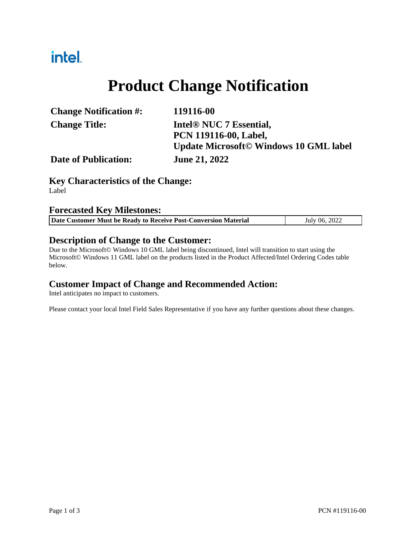## intel.

## **Product Change Notification**

| <b>Change Notification #:</b> | 119116-00                                      |  |  |
|-------------------------------|------------------------------------------------|--|--|
| <b>Change Title:</b>          | Intel <sup>®</sup> NUC 7 Essential,            |  |  |
|                               | <b>PCN 119116-00, Label,</b>                   |  |  |
|                               | <b>Update Microsoft</b> © Windows 10 GML label |  |  |
| <b>Date of Publication:</b>   | <b>June 21, 2022</b>                           |  |  |

#### **Key Characteristics of the Change:**

Label

#### **Forecasted Key Milestones:**

| Date Customer Must be Ready to Receive Post-Conversion Material | July 06, 2022 |
|-----------------------------------------------------------------|---------------|

#### **Description of Change to the Customer:**

Due to the Microsoft© Windows 10 GML label being discontinued, Intel will transition to start using the Microsoft© Windows 11 GML label on the products listed in the Product Affected/Intel Ordering Codes table below.

#### **Customer Impact of Change and Recommended Action:**

Intel anticipates no impact to customers.

Please contact your local Intel Field Sales Representative if you have any further questions about these changes.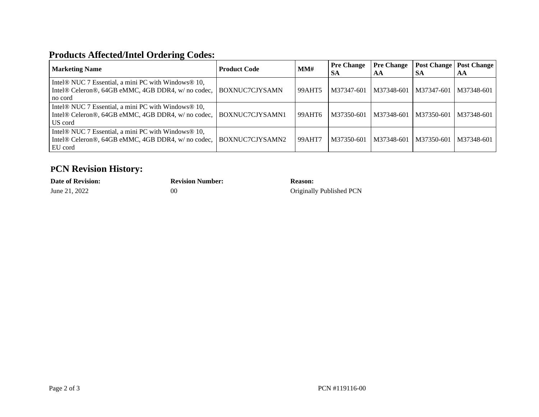#### **Products Affected/Intel Ordering Codes:**

| <b>Marketing Name</b>                                                                                                | <b>Product Code</b> | MMH    | <b>Pre Change</b><br><b>SA</b> | <b>Pre Change</b><br>AA | -SA        | <b>Post Change   Post Change  </b><br>AA |
|----------------------------------------------------------------------------------------------------------------------|---------------------|--------|--------------------------------|-------------------------|------------|------------------------------------------|
| Intel® NUC 7 Essential, a mini PC with Windows® 10,<br>Intel® Celeron®, 64GB eMMC, 4GB DDR4, w/ no codec,<br>no cord | BOXNUC7CJYSAMN      | 99AHT5 | M37347-601                     | M37348-601              | M37347-601 | M37348-601                               |
| Intel® NUC 7 Essential, a mini PC with Windows® 10,<br>Intel® Celeron®, 64GB eMMC, 4GB DDR4, w/ no codec,<br>US cord | BOXNUC7CJYSAMN1     | 99AHT6 | M37350-601                     | M37348-601              | M37350-601 | M37348-601                               |
| Intel® NUC 7 Essential, a mini PC with Windows® 10,<br>Intel® Celeron®, 64GB eMMC, 4GB DDR4, w/ no codec,<br>EU cord | BOXNUC7CJYSAMN2     | 99AHT7 | M37350-601                     | M37348-601              | M37350-601 | M37348-601                               |

### **PCN Revision History:**

## **Date of Revision: Revision Number: Reason:**

June 21, 2022 00 00 Originally Published PCN